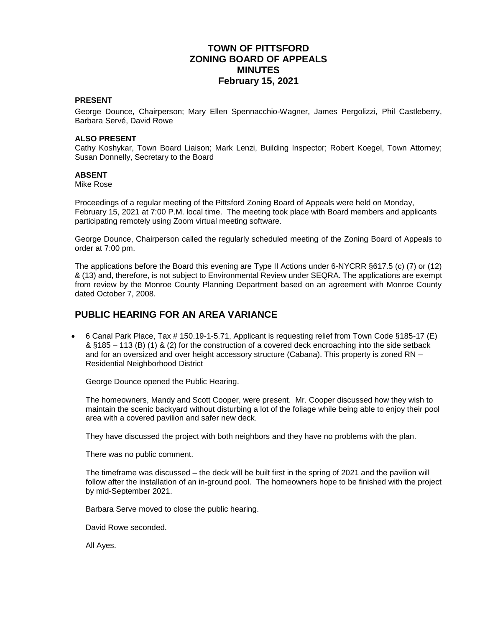## **TOWN OF PITTSFORD ZONING BOARD OF APPEALS MINUTES February 15, 2021**

#### **PRESENT**

George Dounce, Chairperson; Mary Ellen Spennacchio-Wagner, James Pergolizzi, Phil Castleberry, Barbara Servé, David Rowe

#### **ALSO PRESENT**

Cathy Koshykar, Town Board Liaison; Mark Lenzi, Building Inspector; Robert Koegel, Town Attorney; Susan Donnelly, Secretary to the Board

#### **ABSENT**

Mike Rose

Proceedings of a regular meeting of the Pittsford Zoning Board of Appeals were held on Monday, February 15, 2021 at 7:00 P.M. local time. The meeting took place with Board members and applicants participating remotely using Zoom virtual meeting software.

George Dounce, Chairperson called the regularly scheduled meeting of the Zoning Board of Appeals to order at 7:00 pm.

The applications before the Board this evening are Type II Actions under 6-NYCRR §617.5 (c) (7) or (12) & (13) and, therefore, is not subject to Environmental Review under SEQRA. The applications are exempt from review by the Monroe County Planning Department based on an agreement with Monroe County dated October 7, 2008.

### **PUBLIC HEARING FOR AN AREA VARIANCE**

 6 Canal Park Place, Tax # 150.19-1-5.71, Applicant is requesting relief from Town Code §185-17 (E) & §185 – 113 (B) (1) & (2) for the construction of a covered deck encroaching into the side setback and for an oversized and over height accessory structure (Cabana). This property is zoned RN – Residential Neighborhood District

George Dounce opened the Public Hearing.

The homeowners, Mandy and Scott Cooper, were present. Mr. Cooper discussed how they wish to maintain the scenic backyard without disturbing a lot of the foliage while being able to enjoy their pool area with a covered pavilion and safer new deck.

They have discussed the project with both neighbors and they have no problems with the plan.

There was no public comment.

The timeframe was discussed – the deck will be built first in the spring of 2021 and the pavilion will follow after the installation of an in-ground pool. The homeowners hope to be finished with the project by mid-September 2021.

Barbara Serve moved to close the public hearing.

David Rowe seconded.

All Ayes.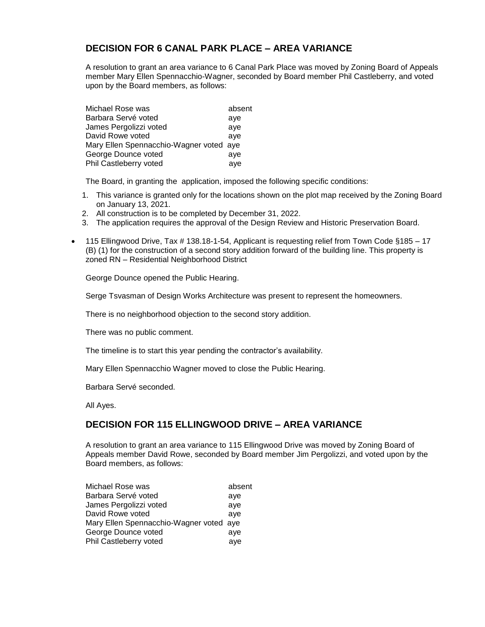# **DECISION FOR 6 CANAL PARK PLACE – AREA VARIANCE**

A resolution to grant an area variance to 6 Canal Park Place was moved by Zoning Board of Appeals member Mary Ellen Spennacchio-Wagner, seconded by Board member Phil Castleberry, and voted upon by the Board members, as follows:

| absent                                  |
|-----------------------------------------|
| aye                                     |
| aye                                     |
| ave                                     |
| Mary Ellen Spennacchio-Wagner voted aye |
| aye                                     |
| aye                                     |
|                                         |

The Board, in granting the application, imposed the following specific conditions:

- 1. This variance is granted only for the locations shown on the plot map received by the Zoning Board on January 13, 2021.
- 2. All construction is to be completed by December 31, 2022.
- 3. The application requires the approval of the Design Review and Historic Preservation Board.
- 115 Ellingwood Drive, Tax # 138.18-1-54, Applicant is requesting relief from Town Code §185 17 (B) (1) for the construction of a second story addition forward of the building line. This property is zoned RN – Residential Neighborhood District

George Dounce opened the Public Hearing.

Serge Tsvasman of Design Works Architecture was present to represent the homeowners.

There is no neighborhood objection to the second story addition.

There was no public comment.

The timeline is to start this year pending the contractor's availability.

Mary Ellen Spennacchio Wagner moved to close the Public Hearing.

Barbara Servé seconded.

All Ayes.

## **DECISION FOR 115 ELLINGWOOD DRIVE – AREA VARIANCE**

A resolution to grant an area variance to 115 Ellingwood Drive was moved by Zoning Board of Appeals member David Rowe, seconded by Board member Jim Pergolizzi, and voted upon by the Board members, as follows:

| Michael Rose was                        | absent |
|-----------------------------------------|--------|
| Barbara Servé voted                     | aye    |
| James Pergolizzi voted                  | ave    |
| David Rowe voted                        | ave    |
| Mary Ellen Spennacchio-Wagner voted aye |        |
| George Dounce voted                     | ave    |
| Phil Castleberry voted                  | aye    |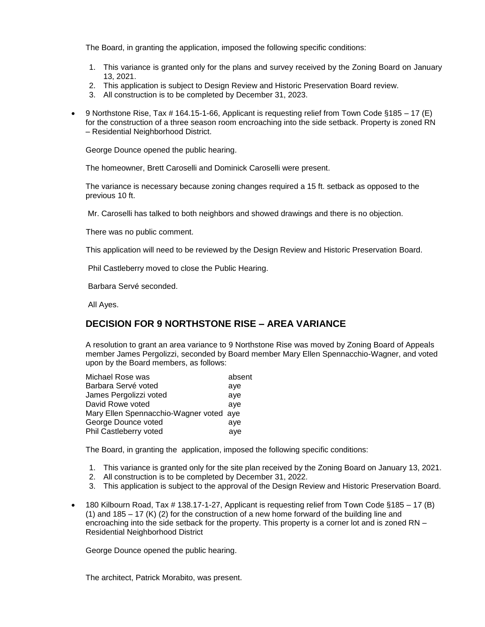The Board, in granting the application, imposed the following specific conditions:

- 1. This variance is granted only for the plans and survey received by the Zoning Board on January 13, 2021.
- 2. This application is subject to Design Review and Historic Preservation Board review.
- 3. All construction is to be completed by December 31, 2023.
- 9 Northstone Rise, Tax # 164.15-1-66, Applicant is requesting relief from Town Code §185 17 (E) for the construction of a three season room encroaching into the side setback. Property is zoned RN – Residential Neighborhood District.

George Dounce opened the public hearing.

The homeowner, Brett Caroselli and Dominick Caroselli were present.

The variance is necessary because zoning changes required a 15 ft. setback as opposed to the previous 10 ft.

Mr. Caroselli has talked to both neighbors and showed drawings and there is no objection.

There was no public comment.

This application will need to be reviewed by the Design Review and Historic Preservation Board.

Phil Castleberry moved to close the Public Hearing.

Barbara Servé seconded.

All Ayes.

# **DECISION FOR 9 NORTHSTONE RISE – AREA VARIANCE**

A resolution to grant an area variance to 9 Northstone Rise was moved by Zoning Board of Appeals member James Pergolizzi, seconded by Board member Mary Ellen Spennacchio-Wagner, and voted upon by the Board members, as follows:

| absent                                  |
|-----------------------------------------|
| aye                                     |
| ave                                     |
| ave                                     |
| Mary Ellen Spennacchio-Wagner voted aye |
| ave                                     |
| aye                                     |
|                                         |

The Board, in granting the application, imposed the following specific conditions:

- 1. This variance is granted only for the site plan received by the Zoning Board on January 13, 2021.
- 2. All construction is to be completed by December 31, 2022.
- 3. This application is subject to the approval of the Design Review and Historic Preservation Board.
- 180 Kilbourn Road, Tax # 138.17-1-27, Applicant is requesting relief from Town Code §185 17 (B) (1) and  $185 - 17$  (K) (2) for the construction of a new home forward of the building line and encroaching into the side setback for the property. This property is a corner lot and is zoned RN – Residential Neighborhood District

George Dounce opened the public hearing.

The architect, Patrick Morabito, was present.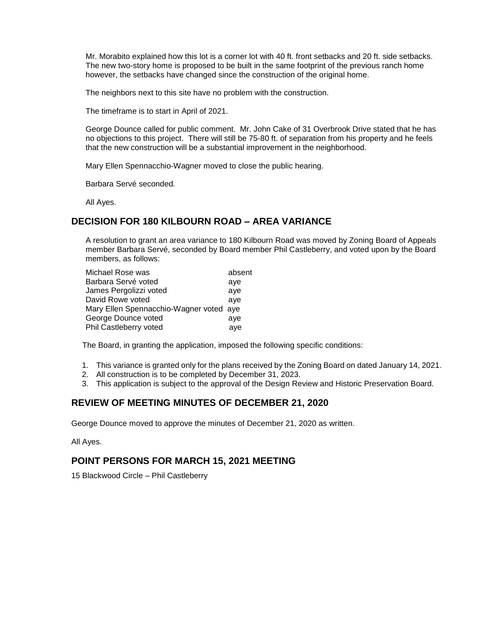Mr. Morabito explained how this lot is a corner lot with 40 ft. front setbacks and 20 ft. side setbacks. The new two-story home is proposed to be built in the same footprint of the previous ranch home however, the setbacks have changed since the construction of the original home.

The neighbors next to this site have no problem with the construction.

The timeframe is to start in April of 2021.

George Dounce called for public comment. Mr. John Cake of 31 Overbrook Drive stated that he has no objections to this project. There will still be 75-80 ft. of separation from his property and he feels that the new construction will be a substantial improvement in the neighborhood.

Mary Ellen Spennacchio-Wagner moved to close the public hearing.

Barbara Servé seconded.

All Ayes.

### **DECISION FOR 180 KILBOURN ROAD – AREA VARIANCE**

A resolution to grant an area variance to 180 Kilbourn Road was moved by Zoning Board of Appeals member Barbara Servé, seconded by Board member Phil Castleberry, and voted upon by the Board members, as follows:

| Michael Rose was                        | absent |
|-----------------------------------------|--------|
| Barbara Servé voted                     | aye    |
| James Pergolizzi voted                  | ave    |
| David Rowe voted                        | ave    |
| Mary Ellen Spennacchio-Wagner voted aye |        |
| George Dounce voted                     | ave    |
| Phil Castleberry voted                  | aye    |

The Board, in granting the application, imposed the following specific conditions:

- 1. This variance is granted only for the plans received by the Zoning Board on dated January 14, 2021.
- 2. All construction is to be completed by December 31, 2023.
- 3. This application is subject to the approval of the Design Review and Historic Preservation Board.

### **REVIEW OF MEETING MINUTES OF DECEMBER 21, 2020**

George Dounce moved to approve the minutes of December 21, 2020 as written.

All Ayes.

### **POINT PERSONS FOR MARCH 15, 2021 MEETING**

15 Blackwood Circle – Phil Castleberry